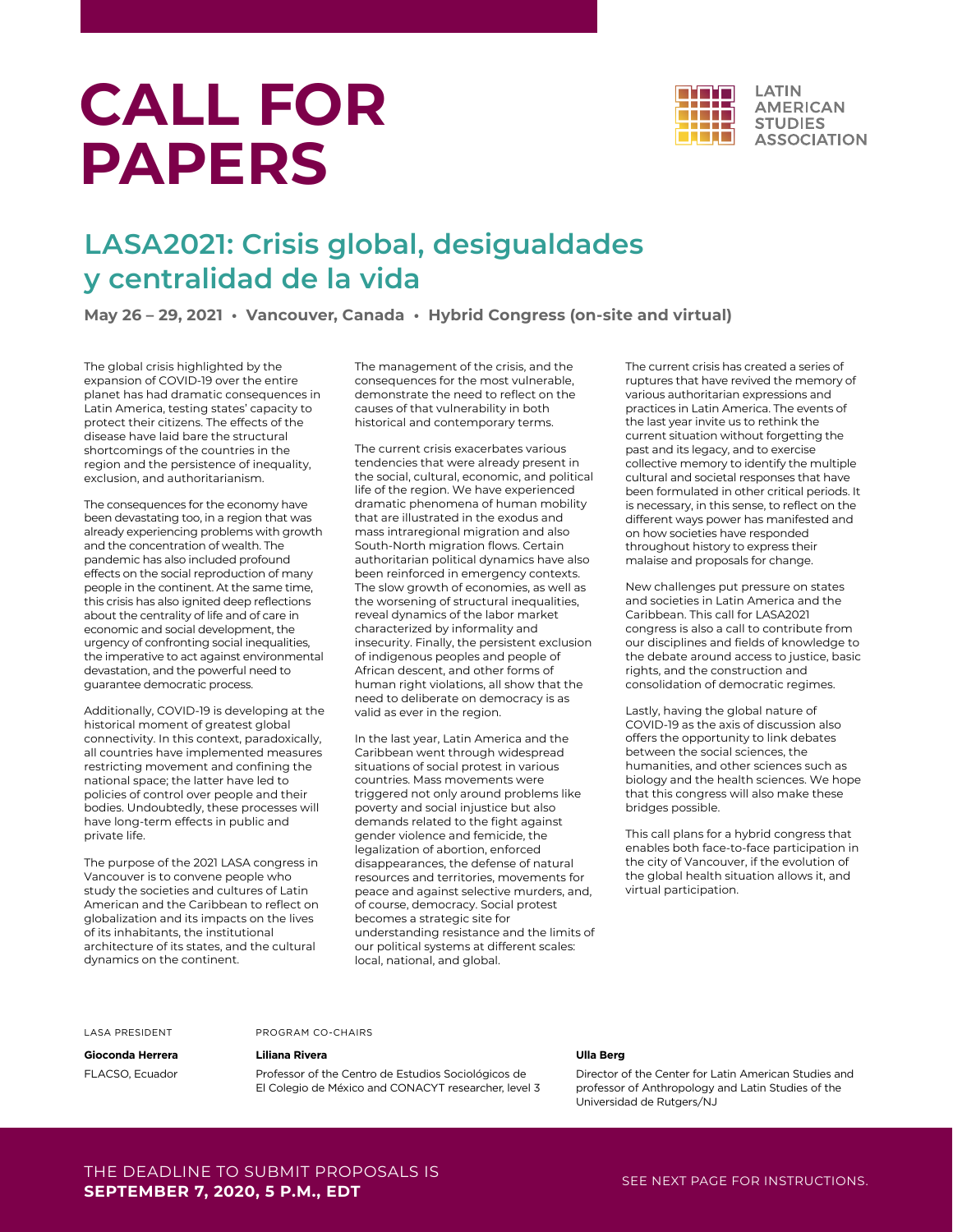# **CALL FOR PAPERS**



## **LASA2021: Crisis global, desigualdades y centralidad de la vida**

**May 26 – 29, 2021 • Vancouver, Canada • Hybrid Congress (on-site and virtual)**

The global crisis highlighted by the expansion of COVID-19 over the entire planet has had dramatic consequences in Latin America, testing states' capacity to protect their citizens. The effects of the disease have laid bare the structural shortcomings of the countries in the region and the persistence of inequality, exclusion, and authoritarianism.

The consequences for the economy have been devastating too, in a region that was already experiencing problems with growth and the concentration of wealth. The pandemic has also included profound effects on the social reproduction of many people in the continent. At the same time, this crisis has also ignited deep reflections about the centrality of life and of care in economic and social development, the urgency of confronting social inequalities, the imperative to act against environmental devastation, and the powerful need to guarantee democratic process.

Additionally, COVID-19 is developing at the historical moment of greatest global connectivity. In this context, paradoxically, all countries have implemented measures restricting movement and confining the national space; the latter have led to policies of control over people and their bodies. Undoubtedly, these processes will have long-term effects in public and private life.

The purpose of the 2021 LASA congress in Vancouver is to convene people who study the societies and cultures of Latin American and the Caribbean to reflect on globalization and its impacts on the lives of its inhabitants, the institutional architecture of its states, and the cultural dynamics on the continent.

The management of the crisis, and the consequences for the most vulnerable, demonstrate the need to reflect on the causes of that vulnerability in both historical and contemporary terms.

The current crisis exacerbates various tendencies that were already present in the social, cultural, economic, and political life of the region. We have experienced dramatic phenomena of human mobility that are illustrated in the exodus and mass intraregional migration and also South-North migration flows. Certain authoritarian political dynamics have also been reinforced in emergency contexts. The slow growth of economies, as well as the worsening of structural inequalities, reveal dynamics of the labor market characterized by informality and insecurity. Finally, the persistent exclusion of indigenous peoples and people of African descent, and other forms of human right violations, all show that the need to deliberate on democracy is as valid as ever in the region.

In the last year, Latin America and the Caribbean went through widespread situations of social protest in various countries. Mass movements were triggered not only around problems like poverty and social injustice but also demands related to the fight against gender violence and femicide, the legalization of abortion, enforced disappearances, the defense of natural resources and territories, movements for peace and against selective murders, and, of course, democracy. Social protest becomes a strategic site for understanding resistance and the limits of our political systems at different scales: local, national, and global.

The current crisis has created a series of ruptures that have revived the memory of various authoritarian expressions and practices in Latin America. The events of the last year invite us to rethink the current situation without forgetting the past and its legacy, and to exercise collective memory to identify the multiple cultural and societal responses that have been formulated in other critical periods. It is necessary, in this sense, to reflect on the different ways power has manifested and on how societies have responded throughout history to express their malaise and proposals for change.

New challenges put pressure on states and societies in Latin America and the Caribbean. This call for LASA2021 congress is also a call to contribute from our disciplines and fields of knowledge to the debate around access to justice, basic rights, and the construction and consolidation of democratic regimes.

Lastly, having the global nature of COVID-19 as the axis of discussion also offers the opportunity to link debates between the social sciences, the humanities, and other sciences such as biology and the health sciences. We hope that this congress will also make these bridges possible.

This call plans for a hybrid congress that enables both face-to-face participation in the city of Vancouver, if the evolution of the global health situation allows it, and virtual participation.

#### LASA PRESIDENT

### **Liliana Rivera**

PROGRAM CO-CHAIRS

**Gioconda Herrera** FLACSO, Ecuador

Professor of the Centro de Estudios Sociológicos de El Colegio de México and CONACYT researcher, level 3

#### **Ulla Berg**

Director of the Center for Latin American Studies and professor of Anthropology and Latin Studies of the Universidad de Rutgers/NJ

## THE DEADLINE TO SUBMIT PROPOSALS IS **SEPTEMBER 7, 2020, 5 P.M., EDT**